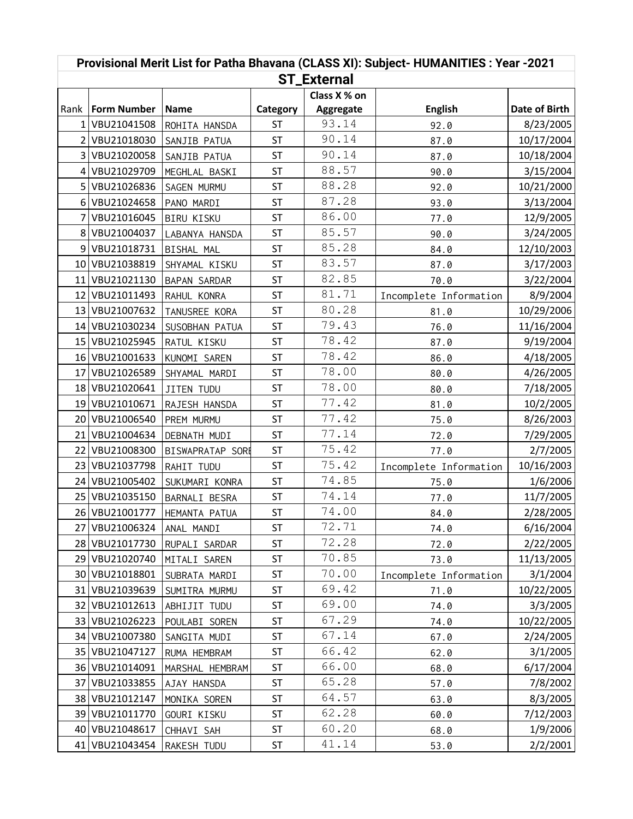| Provisional Merit List for Patha Bhavana (CLASS XI): Subject- HUMANITIES : Year -2021 |                    |                     |           |              |                        |               |  |  |  |  |  |
|---------------------------------------------------------------------------------------|--------------------|---------------------|-----------|--------------|------------------------|---------------|--|--|--|--|--|
| <b>ST_External</b>                                                                    |                    |                     |           |              |                        |               |  |  |  |  |  |
|                                                                                       |                    |                     |           | Class X % on |                        |               |  |  |  |  |  |
|                                                                                       | Rank   Form Number | Name                | Category  | Aggregate    | <b>English</b>         | Date of Birth |  |  |  |  |  |
|                                                                                       | 1 VBU21041508      | ROHITA HANSDA       | <b>ST</b> | 93.14        | 92.0                   | 8/23/2005     |  |  |  |  |  |
|                                                                                       | 2 VBU21018030      | SANJIB PATUA        | <b>ST</b> | 90.14        | 87.0                   | 10/17/2004    |  |  |  |  |  |
|                                                                                       | 3 VBU21020058      | SANJIB PATUA        | <b>ST</b> | 90.14        | 87.0                   | 10/18/2004    |  |  |  |  |  |
|                                                                                       | 4 VBU21029709      | MEGHLAL BASKI       | <b>ST</b> | 88.57        | 90.0                   | 3/15/2004     |  |  |  |  |  |
|                                                                                       | 5 VBU21026836      | SAGEN MURMU         | <b>ST</b> | 88.28        | 92.0                   | 10/21/2000    |  |  |  |  |  |
|                                                                                       | 6 VBU21024658      | PANO MARDI          | <b>ST</b> | 87.28        | 93.0                   | 3/13/2004     |  |  |  |  |  |
|                                                                                       | 7 VBU21016045      | <b>BIRU KISKU</b>   | <b>ST</b> | 86.00        | 77.0                   | 12/9/2005     |  |  |  |  |  |
|                                                                                       | 8 VBU21004037      | LABANYA HANSDA      | <b>ST</b> | 85.57        | 90.0                   | 3/24/2005     |  |  |  |  |  |
|                                                                                       | 9 VBU21018731      | BISHAL MAL          | <b>ST</b> | 85.28        | 84.0                   | 12/10/2003    |  |  |  |  |  |
|                                                                                       | 10 VBU21038819     | SHYAMAL KISKU       | <b>ST</b> | 83.57        | 87.0                   | 3/17/2003     |  |  |  |  |  |
|                                                                                       | 11 VBU21021130     | <b>BAPAN SARDAR</b> | <b>ST</b> | 82.85        | 70.0                   | 3/22/2004     |  |  |  |  |  |
|                                                                                       | 12 VBU21011493     | RAHUL KONRA         | <b>ST</b> | 81.71        | Incomplete Information | 8/9/2004      |  |  |  |  |  |
|                                                                                       | 13 VBU21007632     | TANUSREE KORA       | <b>ST</b> | 80.28        | 81.0                   | 10/29/2006    |  |  |  |  |  |
|                                                                                       | 14 VBU21030234     | SUSOBHAN PATUA      | <b>ST</b> | 79.43        | 76.0                   | 11/16/2004    |  |  |  |  |  |
|                                                                                       | 15 VBU21025945     | RATUL KISKU         | <b>ST</b> | 78.42        | 87.0                   | 9/19/2004     |  |  |  |  |  |
|                                                                                       | 16 VBU21001633     | KUNOMI SAREN        | <b>ST</b> | 78.42        | 86.0                   | 4/18/2005     |  |  |  |  |  |
|                                                                                       | 17 VBU21026589     | SHYAMAL MARDI       | <b>ST</b> | 78.00        | 80.0                   | 4/26/2005     |  |  |  |  |  |
|                                                                                       | 18 VBU21020641     | JITEN TUDU          | <b>ST</b> | 78.00        | 80.0                   | 7/18/2005     |  |  |  |  |  |
|                                                                                       | 19 VBU21010671     | RAJESH HANSDA       | <b>ST</b> | 77.42        | 81.0                   | 10/2/2005     |  |  |  |  |  |
|                                                                                       | 20 VBU21006540     | PREM MURMU          | <b>ST</b> | 77.42        | 75.0                   | 8/26/2003     |  |  |  |  |  |
|                                                                                       | 21 VBU21004634     | DEBNATH MUDI        | <b>ST</b> | 77.14        | 72.0                   | 7/29/2005     |  |  |  |  |  |
|                                                                                       | 22 VBU21008300     | BISWAPRATAP SORE    | <b>ST</b> | 75.42        | 77.0                   | 2/7/2005      |  |  |  |  |  |
|                                                                                       | 23 VBU21037798     | RAHIT TUDU          | <b>ST</b> | 75.42        | Incomplete Information | 10/16/2003    |  |  |  |  |  |
|                                                                                       | 24 VBU21005402     | SUKUMARI KONRA      | <b>ST</b> | 74.85        | 75.0                   | 1/6/2006      |  |  |  |  |  |
|                                                                                       | 25 VBU21035150     | BARNALI BESRA       | <b>ST</b> | 74.14        | 77.0                   | 11/7/2005     |  |  |  |  |  |
|                                                                                       | 26 VBU21001777     | HEMANTA PATUA       | <b>ST</b> | 74.00        | 84.0                   | 2/28/2005     |  |  |  |  |  |
|                                                                                       | 27   VBU21006324   | ANAL MANDI          | ST        | 72.71        | 74.0                   | 6/16/2004     |  |  |  |  |  |
|                                                                                       | 28 VBU21017730     | RUPALI SARDAR       | <b>ST</b> | 72.28        | 72.0                   | 2/22/2005     |  |  |  |  |  |
|                                                                                       | 29 VBU21020740     | MITALI SAREN        | ST        | 70.85        | 73.0                   | 11/13/2005    |  |  |  |  |  |
|                                                                                       | 30 VBU21018801     | SUBRATA MARDI       | ST        | 70.00        | Incomplete Information | 3/1/2004      |  |  |  |  |  |
|                                                                                       | 31 VBU21039639     | SUMITRA MURMU       | ST        | 69.42        | 71.0                   | 10/22/2005    |  |  |  |  |  |
|                                                                                       | 32 VBU21012613     | ABHIJIT TUDU        | <b>ST</b> | 69.00        | 74.0                   | 3/3/2005      |  |  |  |  |  |
|                                                                                       | 33 VBU21026223     | POULABI SOREN       | ST        | 67.29        | 74.0                   | 10/22/2005    |  |  |  |  |  |
|                                                                                       | 34 VBU21007380     | SANGITA MUDI        | ST        | 67.14        | 67.0                   | 2/24/2005     |  |  |  |  |  |
|                                                                                       | 35 VBU21047127     | RUMA HEMBRAM        | ST        | 66.42        | 62.0                   | 3/1/2005      |  |  |  |  |  |
|                                                                                       | 36 VBU21014091     | MARSHAL HEMBRAM     | <b>ST</b> | 66.00        | 68.0                   | 6/17/2004     |  |  |  |  |  |
|                                                                                       | 37 VBU21033855     | AJAY HANSDA         | ST        | 65.28        | 57.0                   | 7/8/2002      |  |  |  |  |  |
|                                                                                       | 38 VBU21012147     | MONIKA SOREN        | ST        | 64.57        | 63.0                   | 8/3/2005      |  |  |  |  |  |
|                                                                                       | 39 VBU21011770     | GOURI KISKU         | <b>ST</b> | 62.28        | 60.0                   | 7/12/2003     |  |  |  |  |  |
|                                                                                       | 40 VBU21048617     | CHHAVI SAH          | <b>ST</b> | 60.20        | 68.0                   | 1/9/2006      |  |  |  |  |  |
|                                                                                       | 41 VBU21043454     | RAKESH TUDU         | <b>ST</b> | 41.14        | 53.0                   | 2/2/2001      |  |  |  |  |  |
|                                                                                       |                    |                     |           |              |                        |               |  |  |  |  |  |

## **Provisional Merit List for Patha Bhavana (CLASS XI): Subject- HUMANITIES : Year -2021**